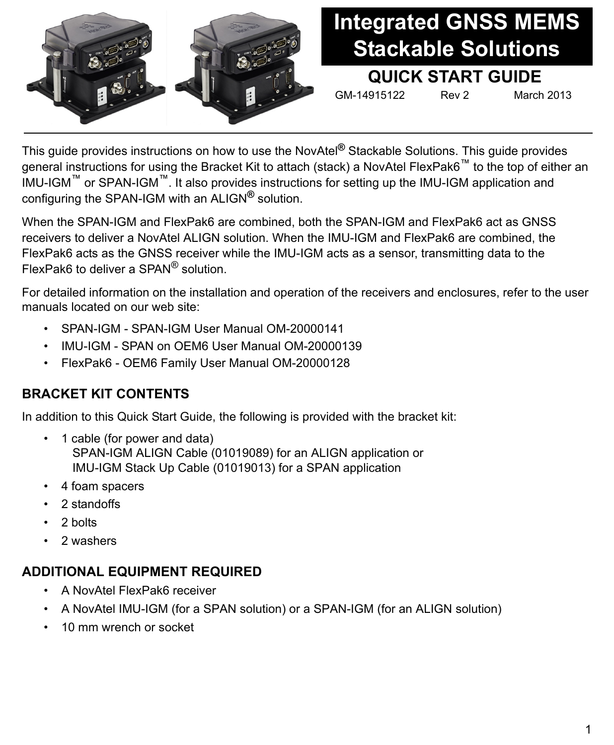

# **Integrated GNSS MEMS Stackable Solutions**

## **QUICK START GUIDE**

GM-14915122 Rev 2 March 2013

This guide provides instructions on how to use the NovAtel**®** Stackable Solutions. This guide provides general instructions for using the Bracket Kit to attach (stack) a NovAtel FlexPak6™ to the top of either an IMU-IGM™ or SPAN-IGM™. It also provides instructions for setting up the IMU-IGM application and configuring the SPAN-IGM with an ALIGN**®** solution.

When the SPAN-IGM and FlexPak6 are combined, both the SPAN-IGM and FlexPak6 act as GNSS receivers to deliver a NovAtel ALIGN solution. When the IMU-IGM and FlexPak6 are combined, the FlexPak6 acts as the GNSS receiver while the IMU-IGM acts as a sensor, transmitting data to the FlexPak6 to deliver a SPAN® solution.

For detailed information on the installation and operation of the receivers and enclosures, refer to the user manuals located on our web site:

- SPAN-IGM SPAN-IGM User Manual OM-20000141
- IMU-IGM SPAN on OEM6 User Manual OM-20000139
- FlexPak6 OEM6 Family User Manual OM-20000128

### **BRACKET KIT CONTENTS**

In addition to this Quick Start Guide, the following is provided with the bracket kit:

- 1 cable (for power and data) SPAN-IGM ALIGN Cable (01019089) for an ALIGN application or IMU-IGM Stack Up Cable (01019013) for a SPAN application
- 4 foam spacers
- 2 standoffs
- 2 bolts
- 2 washers

## **ADDITIONAL EQUIPMENT REQUIRED**

- A NovAtel FlexPak6 receiver
- A NovAtel IMU-IGM (for a SPAN solution) or a SPAN-IGM (for an ALIGN solution)
- 10 mm wrench or socket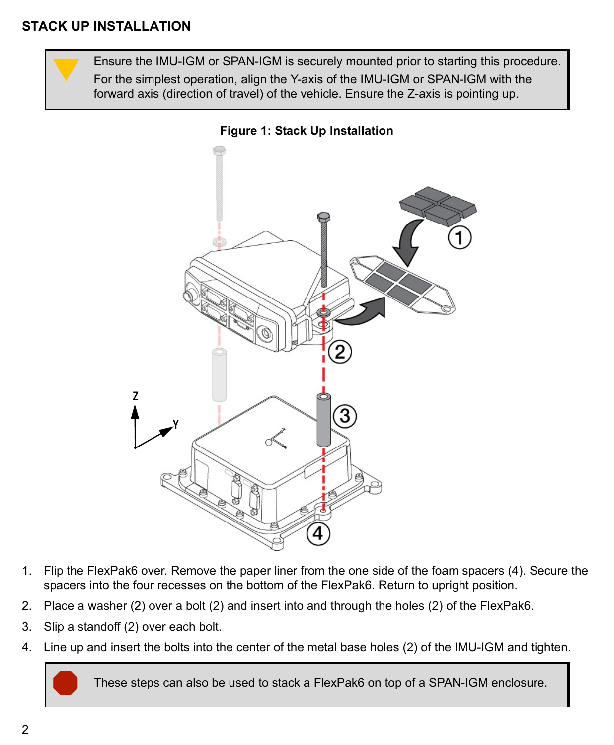





- 1. Flip the FlexPak6 over. Remove the paper liner from the one side of the foam spacers (4). Secure the spacers into the four recesses on the bottom of the FlexPak6. Return to upright position.
- 2. Place a washer (2) over a bolt (2) and insert into and through the holes (2) of the FlexPak6.
- 3. Slip a standoff (2) over each bolt.
- 4. Line up and insert the bolts into the center of the metal base holes (2) of the IMU-IGM and tighten.

These steps can also be used to stack a FlexPak6 on top of a SPAN-IGM enclosure.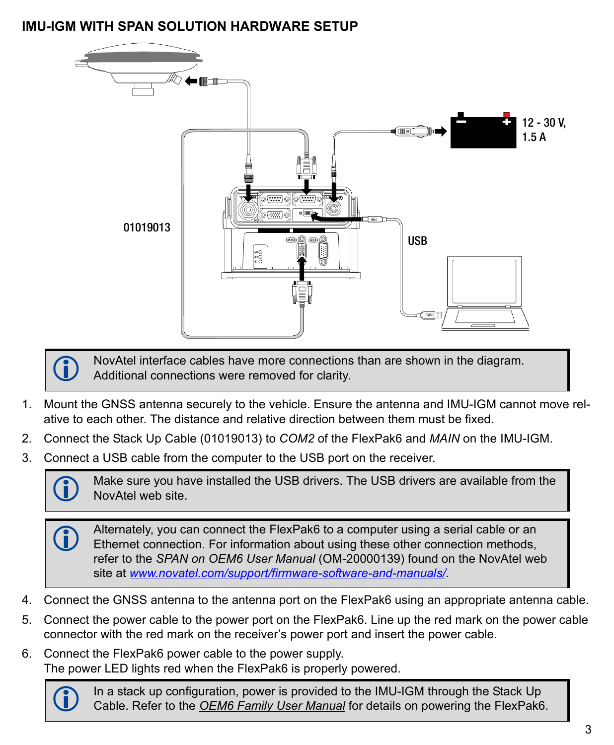## **IMU-IGM WITH SPAN SOLUTION HARDWARE SETUP**





 NovAtel interface cables have more connections than are shown in the diagram. Additional connections were removed for clarity.

- 1. Mount the GNSS antenna securely to the vehicle. Ensure the antenna and IMU-IGM cannot move relative to each other. The distance and relative direction between them must be fixed.
- 2. Connect the Stack Up Cable (01019013) to *COM2* of the FlexPak6 and *MAIN* on the IMU-IGM.
- 3. Connect a USB cable from the computer to the USB port on the receiver.



 Make sure you have installed the USB drivers. The USB drivers are available from the NovAtel web site.

Alternately, you can connect the FlexPak6 to a computer using a serial cable or an Ethernet connection. For information about using these other connection methods, refer to the *SPAN on OEM6 User Manual* (OM-20000139) found on the NovAtel web site at *[www.novatel.com/support/firmware-software-and-manuals/](http://www.novatel.com/support/firmware-software-and-manuals/)*.

- 4. Connect the GNSS antenna to the antenna port on the FlexPak6 using an appropriate antenna cable.
- 5. Connect the power cable to the power port on the FlexPak6. Line up the red mark on the power cable connector with the red mark on the receiver's power port and insert the power cable.
- 6. Connect the FlexPak6 power cable to the power supply. The power LED lights red when the FlexPak6 is properly powered.



 In a stack up configuration, power is provided to the IMU-IGM through the Stack Up Cable. Refer to the *[OEM6 Family User Manual](http://www.novatel.com/assets/Documents/Manuals/om-20000128.pdf)* for details on powering the FlexPak6.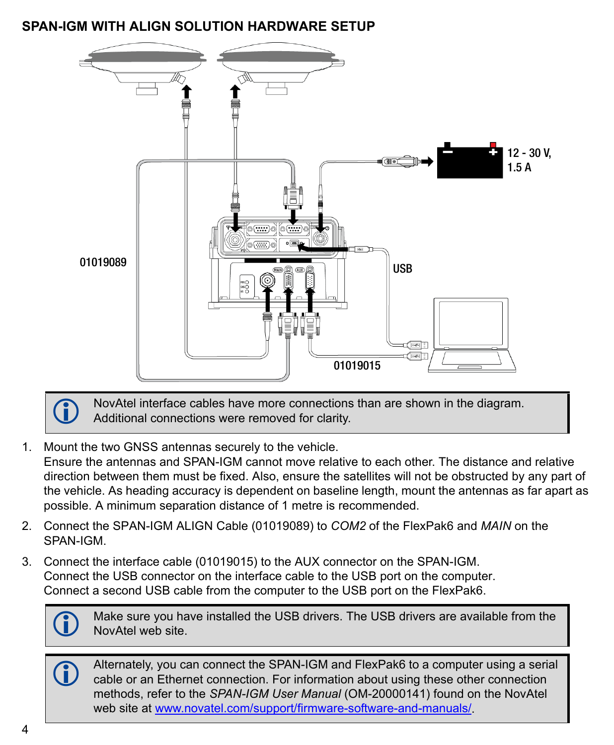### **SPAN-IGM WITH ALIGN SOLUTION HARDWARE SETUP**



 NovAtel interface cables have more connections than are shown in the diagram. Additional connections were removed for clarity.

- 1. Mount the two GNSS antennas securely to the vehicle. Ensure the antennas and SPAN-IGM cannot move relative to each other. The distance and relative direction between them must be fixed. Also, ensure the satellites will not be obstructed by any part of the vehicle. As heading accuracy is dependent on baseline length, mount the antennas as far apart as possible. A minimum separation distance of 1 metre is recommended.
- 2. Connect the SPAN-IGM ALIGN Cable (01019089) to *COM2* of the FlexPak6 and *MAIN* on the SPAN-IGM.
- 3. Connect the interface cable (01019015) to the AUX connector on the SPAN-IGM. Connect the USB connector on the interface cable to the USB port on the computer. Connect a second USB cable from the computer to the USB port on the FlexPak6.



 Make sure you have installed the USB drivers. The USB drivers are available from the NovAtel web site.

 Alternately, you can connect the SPAN-IGM and FlexPak6 to a computer using a serial cable or an Ethernet connection. For information about using these other connection methods, refer to the *SPAN-IGM User Manual* (OM-20000141) found on the NovAtel web site at [www.novatel.com/support/firmware-software-and-manuals/](http://www.novatel.com/support/firmware-software-and-manuals/).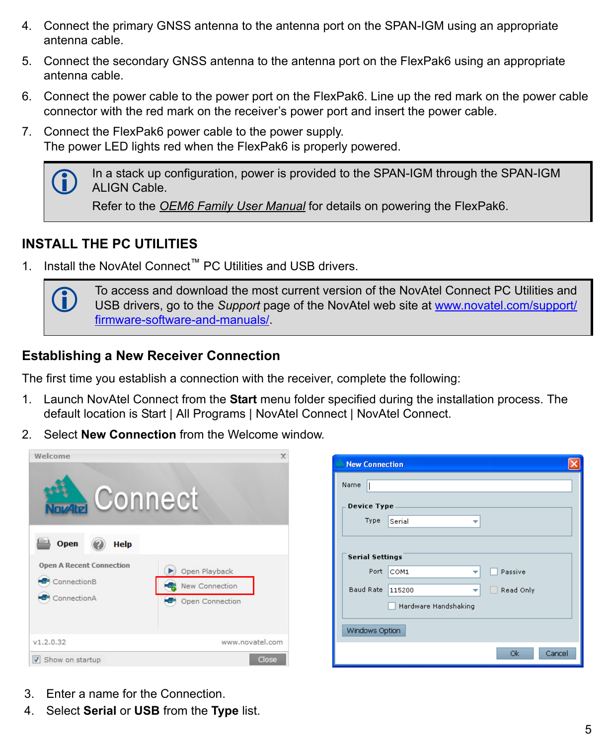- 4. Connect the primary GNSS antenna to the antenna port on the SPAN-IGM using an appropriate antenna cable.
- 5. Connect the secondary GNSS antenna to the antenna port on the FlexPak6 using an appropriate antenna cable.
- 6. Connect the power cable to the power port on the FlexPak6. Line up the red mark on the power cable connector with the red mark on the receiver's power port and insert the power cable.
- 7. Connect the FlexPak6 power cable to the power supply. The power LED lights red when the FlexPak6 is properly powered.



 In a stack up configuration, power is provided to the SPAN-IGM through the SPAN-IGM ALIGN Cable.

Refer to the *[OEM6 Family User Manual](http://www.novatel.com/assets/Documents/Manuals/om-20000128.pdf)* for details on powering the FlexPak6.

#### **INSTALL THE PC UTILITIES**

1. Install the NovAtel Connect™ PC Utilities and USB drivers.



To access and download the most current version of the NovAtel Connect PC Utilities and USB drivers, go to the *Support* [page of the NovAtel web site at](http://www.novatel.com/support/ firmware-software-and-manuals/) www.novatel.com/support/ firmware-software-and-manuals/.

#### **Establishing a New Receiver Connection**

The first time you establish a connection with the receiver, complete the following:

- 1. Launch NovAtel Connect from the **Start** menu folder specified during the installation process. The default location is Start | All Programs | NovAtel Connect | NovAtel Connect.
- 2. Select **New Connection** from the Welcome window*.*



| <b>New Connection</b>  |             |                     |  |  |
|------------------------|-------------|---------------------|--|--|
| Name                   |             |                     |  |  |
| Device Type            |             |                     |  |  |
| Type                   | Serial<br>w |                     |  |  |
|                        |             |                     |  |  |
| <b>Serial Settings</b> |             |                     |  |  |
| Port                   | COM1        | Passive             |  |  |
| Baud Rate              | 115200<br>v | Read Only           |  |  |
| Hardware Handshaking   |             |                     |  |  |
| Windows Option         |             |                     |  |  |
|                        |             | <b>Ok</b><br>Cancel |  |  |

- 3. Enter a name for the Connection.
- 4. Select **Serial** or **USB** from the **Type** list.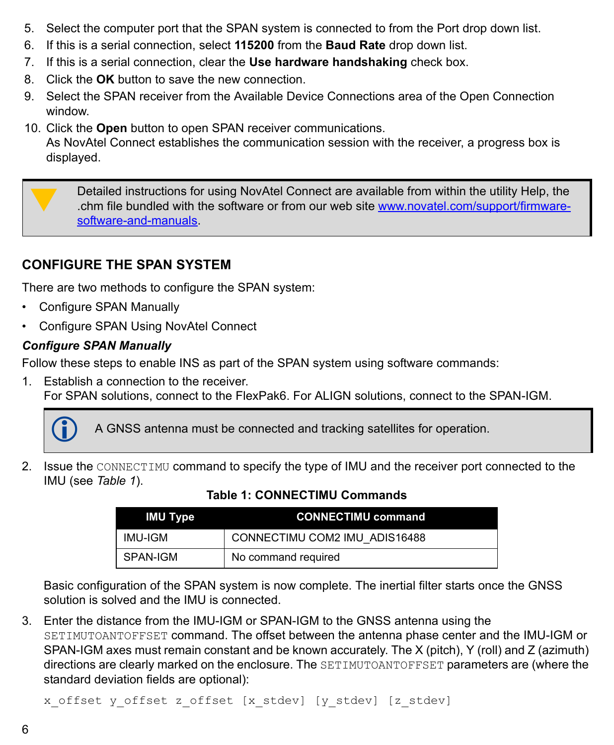- 5. Select the computer port that the SPAN system is connected to from the Port drop down list.
- 6. If this is a serial connection, select **115200** from the **Baud Rate** drop down list.
- 7. If this is a serial connection, clear the **Use hardware handshaking** check box.
- 8. Click the **OK** button to save the new connection.
- 9. Select the SPAN receiver from the Available Device Connections area of the Open Connection window.
- 10. Click the **Open** button to open SPAN receiver communications. As NovAtel Connect establishes the communication session with the receiver, a progress box is displayed.

Detailed instructions for using NovAtel Connect are available from within the utility Help, the chm file bundled with the software or from our web site [www.novatel.com/support/firmware](http://www.novatel.com/support/firmware-software-and-manuals)[software-and-manuals](http://www.novatel.com/support/firmware-software-and-manuals).

# **CONFIGURE THE SPAN SYSTEM**

There are two methods to configure the SPAN system:

- Configure SPAN Manually
- • [Configure SPAN Using NovAtel Connect](#page-6-0)

## *Configure SPAN Manually*

Follow these steps to enable INS as part of the SPAN system using software commands:

1. Establish a connection to the receiver. For SPAN solutions, connect to the FlexPak6. For ALIGN solutions, connect to the SPAN-IGM.



A GNSS antenna must be connected and tracking satellites for operation.

2. Issue the CONNECTIMU command to specify the type of IMU and the receiver port connected to the IMU (see *Table 1*).

| IMU Type | <b>CONNECTIMU command</b>     |
|----------|-------------------------------|
| IMU-IGM  | CONNECTIMU COM2 IMU ADIS16488 |
| SPAN-IGM | No command required           |

#### **Table 1: CONNECTIMU Commands**

Basic configuration of the SPAN system is now complete. The inertial filter starts once the GNSS solution is solved and the IMU is connected.

3. Enter the distance from the IMU-IGM or SPAN-IGM to the GNSS antenna using the SETIMUTOANTOFFSET command. The offset between the antenna phase center and the IMU-IGM or SPAN-IGM axes must remain constant and be known accurately. The X (pitch), Y (roll) and Z (azimuth) directions are clearly marked on the enclosure. The SETIMUTOANTOFFSET parameters are (where the standard deviation fields are optional):

x\_offset y\_offset z\_offset [x\_stdev] [y\_stdev] [z\_stdev]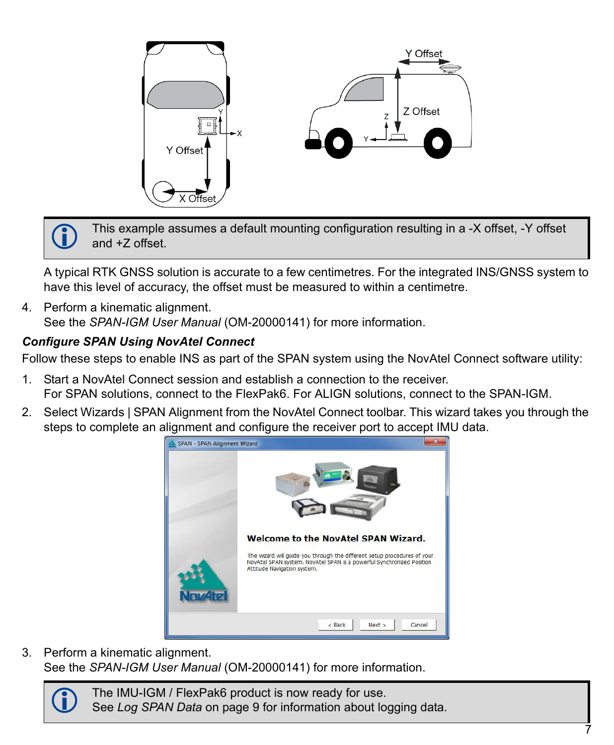

 This example assumes a default mounting configuration resulting in a -X offset, -Y offset and +Z offset.

A typical RTK GNSS solution is accurate to a few centimetres. For the integrated INS/GNSS system to have this level of accuracy, the offset must be measured to within a centimetre.

4. Perform a kinematic alignment. See the *SPAN-IGM User Manual* (OM-20000141) for more information.

#### <span id="page-6-0"></span>*Configure SPAN Using NovAtel Connect*

Follow these steps to enable INS as part of the SPAN system using the NovAtel Connect software utility:

- 1. Start a NovAtel Connect session and establish a connection to the receiver. For SPAN solutions, connect to the FlexPak6. For ALIGN solutions, connect to the SPAN-IGM.
- 2. Select Wizards | SPAN Alignment from the NovAtel Connect toolbar. This wizard takes you through the steps to complete an alignment and configure the receiver port to accept IMU data.



3. Perform a kinematic alignment. See the *SPAN-IGM User Manual* (OM-20000141) for more information.

> The IMU-IGM / FlexPak6 product is now ready for use. See *[Log SPAN Data](#page-8-0)* on page 9 for information about logging data.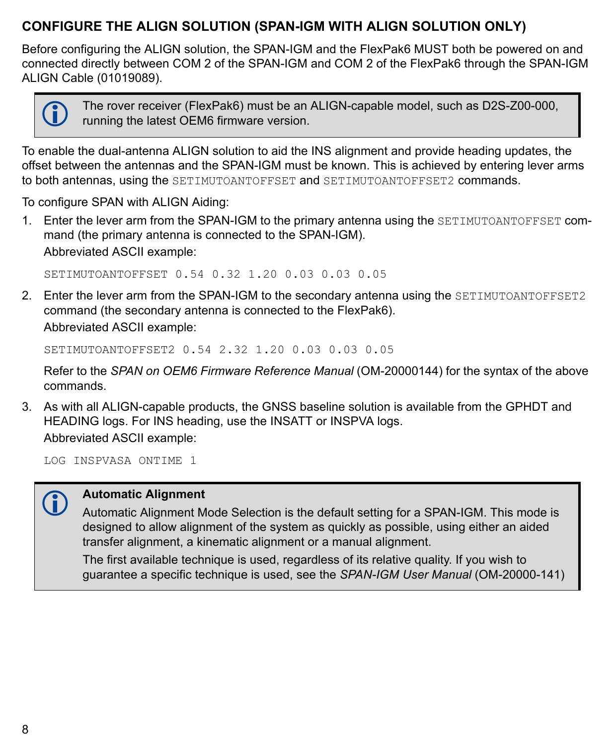#### **CONFIGURE THE ALIGN SOLUTION (SPAN-IGM WITH ALIGN SOLUTION ONLY)**

Before configuring the ALIGN solution, the SPAN-IGM and the FlexPak6 MUST both be powered on and connected directly between COM 2 of the SPAN-IGM and COM 2 of the FlexPak6 through the SPAN-IGM ALIGN Cable (01019089).



 The rover receiver (FlexPak6) must be an ALIGN-capable model, such as D2S-Z00-000, running the latest OEM6 firmware version.

To enable the dual-antenna ALIGN solution to aid the INS alignment and provide heading updates, the offset between the antennas and the SPAN-IGM must be known. This is achieved by entering lever arms to both antennas, using the SETIMUTOANTOFFSET and SETIMUTOANTOFFSET2 commands.

To configure SPAN with ALIGN Aiding:

1. Enter the lever arm from the SPAN-IGM to the primary antenna using the SETIMUTOANTOFFSET command (the primary antenna is connected to the SPAN-IGM). Abbreviated ASCII example:

SETIMUTOANTOFFSET 0.54 0.32 1.20 0.03 0.03 0.05

2. Enter the lever arm from the SPAN-IGM to the secondary antenna using the SETIMUTOANTOFFSET2 command (the secondary antenna is connected to the FlexPak6). Abbreviated ASCII example:

SETIMUTOANTOFFSET2 0.54 2.32 1.20 0.03 0.03 0.05

Refer to the *SPAN on OEM6 Firmware Reference Manual* (OM-20000144) for the syntax of the above commands.

3. As with all ALIGN-capable products, the GNSS baseline solution is available from the GPHDT and HEADING logs. For INS heading, use the INSATT or INSPVA logs. Abbreviated ASCII example:

LOG INSPVASA ONTIME 1



#### **Automatic Alignment**

Automatic Alignment Mode Selection is the default setting for a SPAN-IGM. This mode is designed to allow alignment of the system as quickly as possible, using either an aided transfer alignment, a kinematic alignment or a manual alignment.

The first available technique is used, regardless of its relative quality. If you wish to guarantee a specific technique is used, see the *SPAN-IGM User Manual* (OM-20000-141)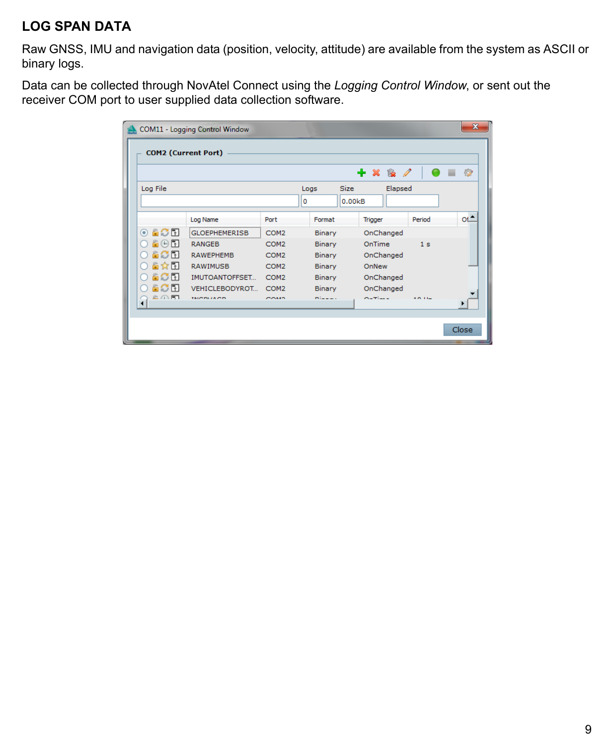#### <span id="page-8-0"></span>**LOG SPAN DATA**

Raw GNSS, IMU and navigation data (position, velocity, attitude) are available from the system as ASCII or binary logs.

Data can be collected through NovAtel Connect using the *Logging Control Window*, or sent out the receiver COM port to user supplied data collection software.

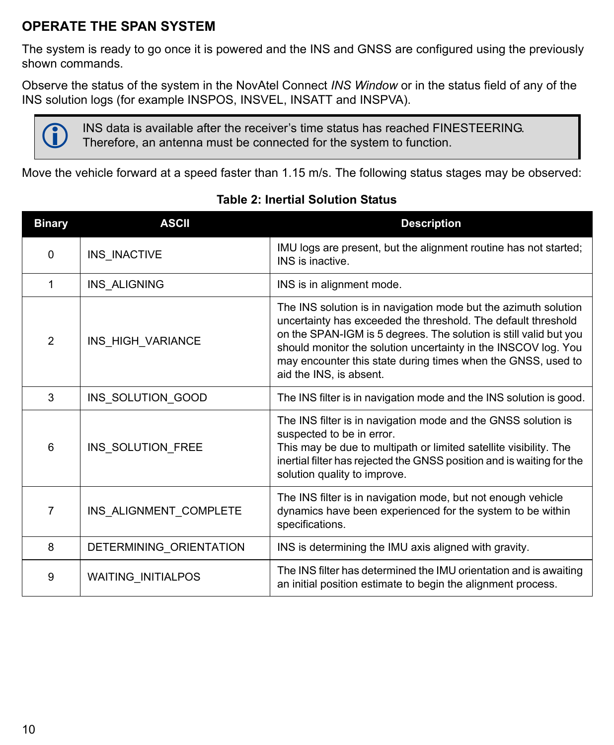#### **OPERATE THE SPAN SYSTEM**

The system is ready to go once it is powered and the INS and GNSS are configured using the previously shown commands.

Observe the status of the system in the NovAtel Connect *INS Window* or in the status field of any of the INS solution logs (for example INSPOS, INSVEL, INSATT and INSPVA).



INS data is available after the receiver's time status has reached FINESTEERING.<br>Therefore, an antenna must be connected for the system to function.

Move the vehicle forward at a speed faster than 1.15 m/s. The following status stages may be observed:

| <b>Binary</b> | <b>ASCII</b>            | <b>Description</b>                                                                                                                                                                                                                                                                                                                                                 |
|---------------|-------------------------|--------------------------------------------------------------------------------------------------------------------------------------------------------------------------------------------------------------------------------------------------------------------------------------------------------------------------------------------------------------------|
| 0             | INS INACTIVE            | IMU logs are present, but the alignment routine has not started;<br>INS is inactive.                                                                                                                                                                                                                                                                               |
| 1             | INS ALIGNING            | INS is in alignment mode.                                                                                                                                                                                                                                                                                                                                          |
| 2             | INS_HIGH_VARIANCE       | The INS solution is in navigation mode but the azimuth solution<br>uncertainty has exceeded the threshold. The default threshold<br>on the SPAN-IGM is 5 degrees. The solution is still valid but you<br>should monitor the solution uncertainty in the INSCOV log. You<br>may encounter this state during times when the GNSS, used to<br>aid the INS, is absent. |
| 3             | INS SOLUTION GOOD       | The INS filter is in navigation mode and the INS solution is good.                                                                                                                                                                                                                                                                                                 |
| 6             | INS SOLUTION FREE       | The INS filter is in navigation mode and the GNSS solution is<br>suspected to be in error.<br>This may be due to multipath or limited satellite visibility. The<br>inertial filter has rejected the GNSS position and is waiting for the<br>solution quality to improve.                                                                                           |
| 7             | INS_ALIGNMENT_COMPLETE  | The INS filter is in navigation mode, but not enough vehicle<br>dynamics have been experienced for the system to be within<br>specifications.                                                                                                                                                                                                                      |
| 8             | DETERMINING_ORIENTATION | INS is determining the IMU axis aligned with gravity.                                                                                                                                                                                                                                                                                                              |
| 9             | WAITING_INITIALPOS      | The INS filter has determined the IMU orientation and is awaiting<br>an initial position estimate to begin the alignment process.                                                                                                                                                                                                                                  |

#### **Table 2: Inertial Solution Status**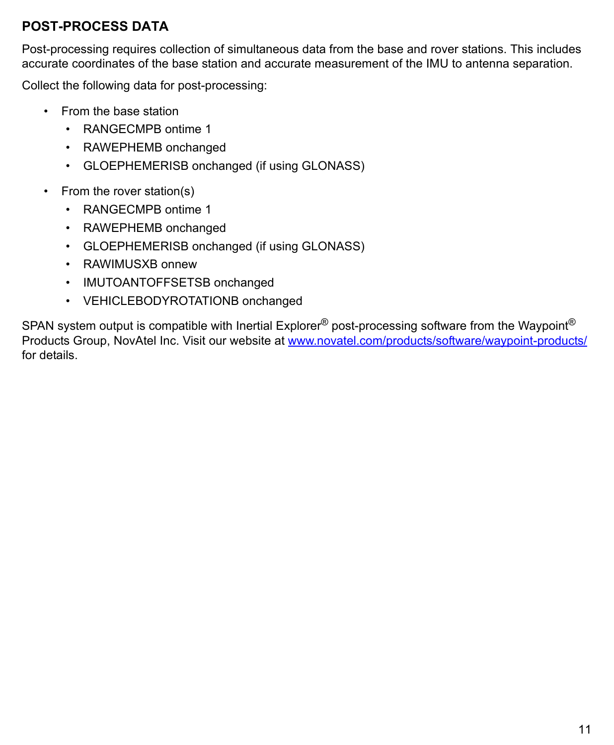#### **POST-PROCESS DATA**

Post-processing requires collection of simultaneous data from the base and rover stations. This includes accurate coordinates of the base station and accurate measurement of the IMU to antenna separation.

Collect the following data for post-processing:

- From the base station
	- RANGECMPB ontime 1
	- RAWEPHEMB onchanged
	- GLOEPHEMERISB onchanged (if using GLONASS)
- From the rover station(s)
	- RANGECMPB ontime 1
	- RAWEPHEMB onchanged
	- GLOEPHEMERISB onchanged (if using GLONASS)
	- RAWIMUSXB onnew
	- IMUTOANTOFFSETSB onchanged
	- VEHICLEBODYROTATIONB onchanged

SPAN system output is compatible with Inertial Explorer<sup>®</sup> post-processing software from the Waypoint<sup>®</sup> Products Group, NovAtel Inc. Visit our website at [www.novatel.com/products/software/waypoint-products/](http://www.novatel.com/products/software/waypoint-products/) for details.